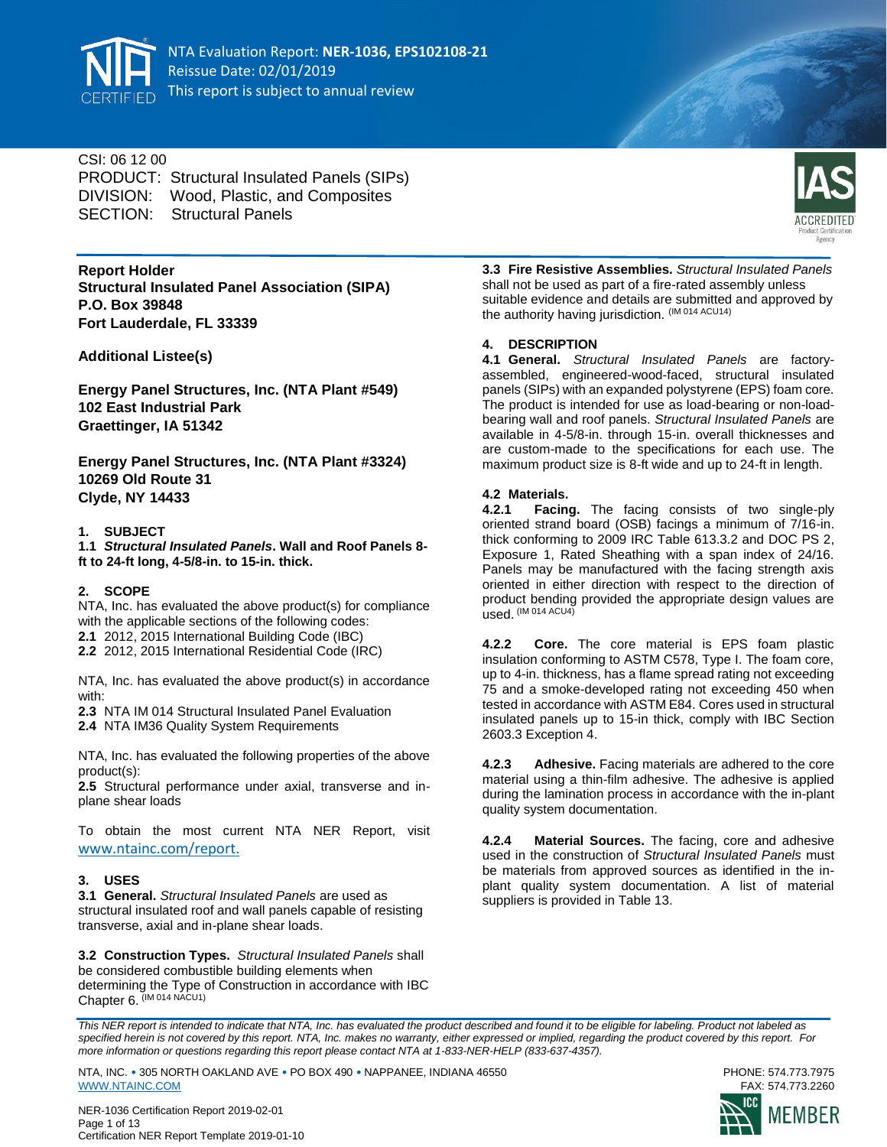

# CSI: 06 12 00

PRODUCT: Structural Insulated Panels (SIPs) DIVISION: Wood, Plastic, and Composites SECTION: Structural Panels



**Report Holder Structural Insulated Panel Association (SIPA) P.O. Box 39848 Fort Lauderdale, FL 33339**

**Additional Listee(s)**

**Energy Panel Structures, Inc. (NTA Plant #549) 102 East Industrial Park Graettinger, IA 51342**

**Energy Panel Structures, Inc. (NTA Plant #3324) 10269 Old Route 31 Clyde, NY 14433**

### **1. SUBJECT**

**1.1** *Structural Insulated Panels***. Wall and Roof Panels 8 ft to 24-ft long, 4-5/8-in. to 15-in. thick.**

### **2. SCOPE**

NTA, Inc. has evaluated the above product(s) for compliance with the applicable sections of the following codes: **2.1** 2012, 2015 International Building Code (IBC)

**2.2** 2012, 2015 International Residential Code (IRC)

NTA, Inc. has evaluated the above product(s) in accordance with:

- **2.3** NTA IM 014 Structural Insulated Panel Evaluation
- **2.4** NTA IM36 Quality System Requirements

NTA, Inc. has evaluated the following properties of the above product(s):

**2.5** Structural performance under axial, transverse and inplane shear loads

To obtain the most current NTA NER Report, visit [www.ntainc.com/report.](https://online.ntainc.com/public/certification/reports/)

### **3. USES**

**3.1 General.** *Structural Insulated Panels* are used as structural insulated roof and wall panels capable of resisting transverse, axial and in-plane shear loads.

**3.2 Construction Types.** *Structural Insulated Panels* shall be considered combustible building elements when determining the Type of Construction in accordance with IBC Chapter 6. (IM 014 NACU1)

**3.3 Fire Resistive Assemblies.** *Structural Insulated Panels* shall not be used as part of a fire-rated assembly unless suitable evidence and details are submitted and approved by the authority having jurisdiction. (IM 014 ACU14)

# **4. DESCRIPTION**

**4.1 General.** *Structural Insulated Panels* are factoryassembled, engineered-wood-faced, structural insulated panels (SIPs) with an expanded polystyrene (EPS) foam core. The product is intended for use as load-bearing or non-loadbearing wall and roof panels. *Structural Insulated Panels* are available in 4-5/8-in. through 15-in. overall thicknesses and are custom-made to the specifications for each use. The maximum product size is 8-ft wide and up to 24-ft in length.

### **4.2 Materials.**

**4.2.1 Facing.** The facing consists of two single-ply oriented strand board (OSB) facings a minimum of 7/16-in. thick conforming to 2009 IRC Table 613.3.2 and DOC PS 2, Exposure 1, Rated Sheathing with a span index of 24/16. Panels may be manufactured with the facing strength axis oriented in either direction with respect to the direction of product bending provided the appropriate design values are used. (IM 014 ACU4)

**4.2.2 Core.** The core material is EPS foam plastic insulation conforming to ASTM C578, Type I. The foam core, up to 4-in. thickness, has a flame spread rating not exceeding 75 and a smoke-developed rating not exceeding 450 when tested in accordance with ASTM E84. Cores used in structural insulated panels up to 15-in thick, comply with IBC Section 2603.3 Exception 4.

**4.2.3 Adhesive.** Facing materials are adhered to the core material using a thin-film adhesive. The adhesive is applied during the lamination process in accordance with the in-plant quality system documentation.

**4.2.4 Material Sources.** The facing, core and adhesive used in the construction of *Structural Insulated Panels* must be materials from approved sources as identified in the inplant quality system documentation. A list of material suppliers is provided in Table 13.

*This NER report is intended to indicate that NTA, Inc. has evaluated the product described and found it to be eligible for labeling. Product not labeled as specified herein is not covered by this report. NTA, Inc. makes no warranty, either expressed or implied, regarding the product covered by this report. For more information or questions regarding this report please contact NTA at 1-833-NER-HELP (833-637-4357).* 

NTA, INC. • 305 NORTH OAKLAND AVE • PO BOX 490 • NAPPANEE, INDIANA 46550 PHONE: 574.773.7975 [WWW.NTAINC.COM](http://www.ntainc.com/)

NER-1036 Certification Report 2019-02-01 Page 1 of 13 Certification NER Report Template 2019-01-10

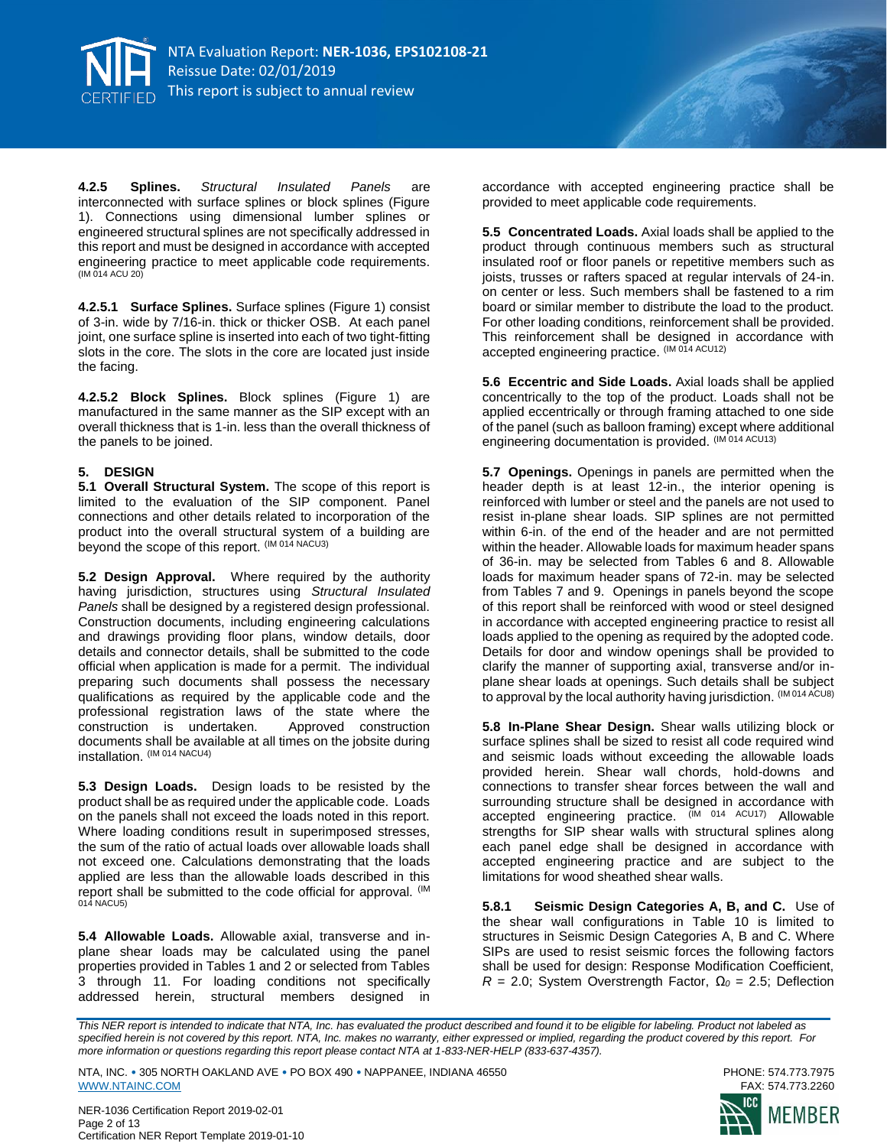

**4.2.5 Splines.** *Structural Insulated Panels* are interconnected with surface splines or block splines (Figure 1). Connections using dimensional lumber splines or engineered structural splines are not specifically addressed in this report and must be designed in accordance with accepted engineering practice to meet applicable code requirements. (IM 014 ACU 20)

**4.2.5.1 Surface Splines.** Surface splines (Figure 1) consist of 3-in. wide by 7/16-in. thick or thicker OSB. At each panel joint, one surface spline is inserted into each of two tight-fitting slots in the core. The slots in the core are located just inside the facing.

**4.2.5.2 Block Splines.** Block splines (Figure 1) are manufactured in the same manner as the SIP except with an overall thickness that is 1-in. less than the overall thickness of the panels to be joined.

#### **5. DESIGN**

**5.1 Overall Structural System.** The scope of this report is limited to the evaluation of the SIP component. Panel connections and other details related to incorporation of the product into the overall structural system of a building are beyond the scope of this report. (IM 014 NACU3)

**5.2 Design Approval.** Where required by the authority having jurisdiction, structures using *Structural Insulated Panels* shall be designed by a registered design professional. Construction documents, including engineering calculations and drawings providing floor plans, window details, door details and connector details, shall be submitted to the code official when application is made for a permit. The individual preparing such documents shall possess the necessary qualifications as required by the applicable code and the professional registration laws of the state where the construction is undertaken. Approved construction construction is undertaken. documents shall be available at all times on the jobsite during installation. (IM 014 NACU4)

**5.3 Design Loads.** Design loads to be resisted by the product shall be as required under the applicable code. Loads on the panels shall not exceed the loads noted in this report. Where loading conditions result in superimposed stresses, the sum of the ratio of actual loads over allowable loads shall not exceed one. Calculations demonstrating that the loads applied are less than the allowable loads described in this report shall be submitted to the code official for approval. (IM 014 NACU5)

**5.4 Allowable Loads.** Allowable axial, transverse and inplane shear loads may be calculated using the panel properties provided in Tables 1 and 2 or selected from Tables 3 through 11. For loading conditions not specifically addressed herein, structural members designed in

accordance with accepted engineering practice shall be provided to meet applicable code requirements.

**5.5 Concentrated Loads.** Axial loads shall be applied to the product through continuous members such as structural insulated roof or floor panels or repetitive members such as joists, trusses or rafters spaced at regular intervals of 24-in. on center or less. Such members shall be fastened to a rim board or similar member to distribute the load to the product. For other loading conditions, reinforcement shall be provided. This reinforcement shall be designed in accordance with accepted engineering practice. (IM 014 ACU12)

**5.6 Eccentric and Side Loads.** Axial loads shall be applied concentrically to the top of the product. Loads shall not be applied eccentrically or through framing attached to one side of the panel (such as balloon framing) except where additional engineering documentation is provided. (IM 014 ACU13)

**5.7 Openings.** Openings in panels are permitted when the header depth is at least 12-in., the interior opening is reinforced with lumber or steel and the panels are not used to resist in-plane shear loads. SIP splines are not permitted within 6-in. of the end of the header and are not permitted within the header. Allowable loads for maximum header spans of 36-in. may be selected from Tables 6 and 8. Allowable loads for maximum header spans of 72-in. may be selected from Tables 7 and 9. Openings in panels beyond the scope of this report shall be reinforced with wood or steel designed in accordance with accepted engineering practice to resist all loads applied to the opening as required by the adopted code. Details for door and window openings shall be provided to clarify the manner of supporting axial, transverse and/or inplane shear loads at openings. Such details shall be subject to approval by the local authority having jurisdiction. (IM 014 ACU8)

**5.8 In-Plane Shear Design.** Shear walls utilizing block or surface splines shall be sized to resist all code required wind and seismic loads without exceeding the allowable loads provided herein. Shear wall chords, hold-downs and connections to transfer shear forces between the wall and surrounding structure shall be designed in accordance with accepted engineering practice. (IM 014 ACU17) Allowable strengths for SIP shear walls with structural splines along each panel edge shall be designed in accordance with accepted engineering practice and are subject to the limitations for wood sheathed shear walls.

**5.8.1 Seismic Design Categories A, B, and C.** Use of the shear wall configurations in Table 10 is limited to structures in Seismic Design Categories A, B and C. Where SIPs are used to resist seismic forces the following factors shall be used for design: Response Modification Coefficient, *R* = 2.0; System Overstrength Factor, *Ω<sup>0</sup>* = 2.5; Deflection

*This NER report is intended to indicate that NTA, Inc. has evaluated the product described and found it to be eligible for labeling. Product not labeled as specified herein is not covered by this report. NTA, Inc. makes no warranty, either expressed or implied, regarding the product covered by this report. For more information or questions regarding this report please contact NTA at 1-833-NER-HELP (833-637-4357).* 



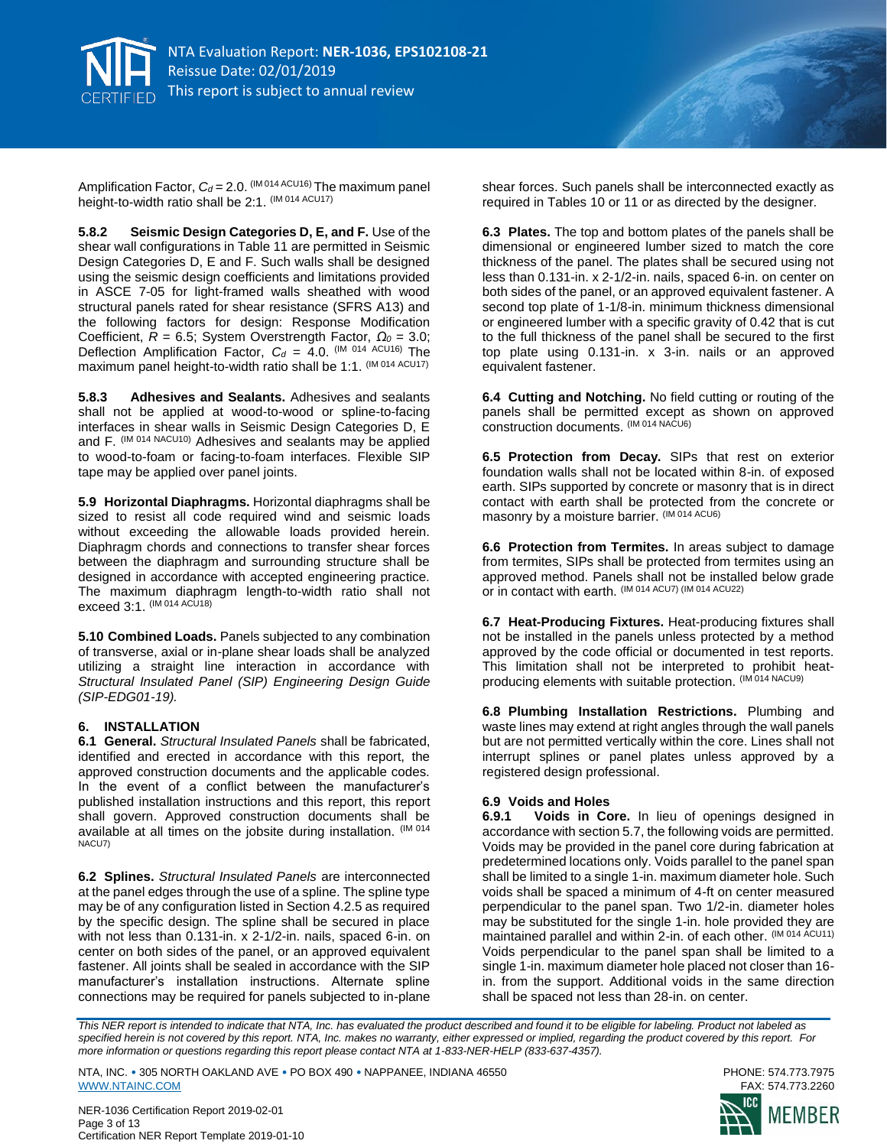

Amplification Factor,  $C_d = 2.0$ . (IM 014 ACU16) The maximum panel height-to-width ratio shall be 2:1. (IM 014 ACU17)

**5.8.2 Seismic Design Categories D, E, and F.** Use of the shear wall configurations in Table 11 are permitted in Seismic Design Categories D, E and F. Such walls shall be designed using the seismic design coefficients and limitations provided in ASCE 7-05 for light-framed walls sheathed with wood structural panels rated for shear resistance (SFRS A13) and the following factors for design: Response Modification Coefficient, *R* = 6.5; System Overstrength Factor, *Ω<sup>0</sup>* = 3.0; Deflection Amplification Factor,  $C_d = 4.0$ . (IM 014 ACU16) The maximum panel height-to-width ratio shall be 1:1. (IM 014 ACU17)

**5.8.3 Adhesives and Sealants.** Adhesives and sealants shall not be applied at wood-to-wood or spline-to-facing interfaces in shear walls in Seismic Design Categories D, E and F. (IM 014 NACU10) Adhesives and sealants may be applied to wood-to-foam or facing-to-foam interfaces. Flexible SIP tape may be applied over panel joints.

**5.9 Horizontal Diaphragms.** Horizontal diaphragms shall be sized to resist all code required wind and seismic loads without exceeding the allowable loads provided herein. Diaphragm chords and connections to transfer shear forces between the diaphragm and surrounding structure shall be designed in accordance with accepted engineering practice. The maximum diaphragm length-to-width ratio shall not exceed 3:1. (IM 014 ACU18)

**5.10 Combined Loads.** Panels subjected to any combination of transverse, axial or in-plane shear loads shall be analyzed utilizing a straight line interaction in accordance with *Structural Insulated Panel (SIP) Engineering Design Guide (SIP-EDG01-19).*

#### **6. INSTALLATION**

**6.1 General.** *Structural Insulated Panels* shall be fabricated, identified and erected in accordance with this report, the approved construction documents and the applicable codes. In the event of a conflict between the manufacturer's published installation instructions and this report, this report shall govern. Approved construction documents shall be available at all times on the jobsite during installation. (IM 014 NACU7)

**6.2 Splines.** *Structural Insulated Panels* are interconnected at the panel edges through the use of a spline. The spline type may be of any configuration listed in Section 4.2.5 as required by the specific design. The spline shall be secured in place with not less than 0.131-in. x 2-1/2-in. nails, spaced 6-in. on center on both sides of the panel, or an approved equivalent fastener. All joints shall be sealed in accordance with the SIP manufacturer's installation instructions. Alternate spline connections may be required for panels subjected to in-plane

shear forces. Such panels shall be interconnected exactly as required in Tables 10 or 11 or as directed by the designer.

**6.3 Plates.** The top and bottom plates of the panels shall be dimensional or engineered lumber sized to match the core thickness of the panel. The plates shall be secured using not less than 0.131-in. x 2-1/2-in. nails, spaced 6-in. on center on both sides of the panel, or an approved equivalent fastener. A second top plate of 1-1/8-in. minimum thickness dimensional or engineered lumber with a specific gravity of 0.42 that is cut to the full thickness of the panel shall be secured to the first top plate using 0.131-in. x 3-in. nails or an approved equivalent fastener.

**6.4 Cutting and Notching.** No field cutting or routing of the panels shall be permitted except as shown on approved construction documents. (IM 014 NACU6)

**6.5 Protection from Decay.** SIPs that rest on exterior foundation walls shall not be located within 8-in. of exposed earth. SIPs supported by concrete or masonry that is in direct contact with earth shall be protected from the concrete or masonry by a moisture barrier. (IM 014 ACU6)

**6.6 Protection from Termites.** In areas subject to damage from termites, SIPs shall be protected from termites using an approved method. Panels shall not be installed below grade or in contact with earth. (IM 014 ACU7) (IM 014 ACU22)

**6.7 Heat-Producing Fixtures.** Heat-producing fixtures shall not be installed in the panels unless protected by a method approved by the code official or documented in test reports. This limitation shall not be interpreted to prohibit heatproducing elements with suitable protection. (IM 014 NACU9)

**6.8 Plumbing Installation Restrictions.** Plumbing and waste lines may extend at right angles through the wall panels but are not permitted vertically within the core. Lines shall not interrupt splines or panel plates unless approved by a registered design professional.

### **6.9 Voids and Holes**

**6.9.1 Voids in Core.** In lieu of openings designed in accordance with section 5.7, the following voids are permitted. Voids may be provided in the panel core during fabrication at predetermined locations only. Voids parallel to the panel span shall be limited to a single 1-in. maximum diameter hole. Such voids shall be spaced a minimum of 4-ft on center measured perpendicular to the panel span. Two 1/2-in. diameter holes may be substituted for the single 1-in. hole provided they are maintained parallel and within 2-in. of each other. (IM 014 ACU11) Voids perpendicular to the panel span shall be limited to a single 1-in. maximum diameter hole placed not closer than 16 in. from the support. Additional voids in the same direction shall be spaced not less than 28-in. on center.

*This NER report is intended to indicate that NTA, Inc. has evaluated the product described and found it to be eligible for labeling. Product not labeled as specified herein is not covered by this report. NTA, Inc. makes no warranty, either expressed or implied, regarding the product covered by this report. For more information or questions regarding this report please contact NTA at 1-833-NER-HELP (833-637-4357).* 



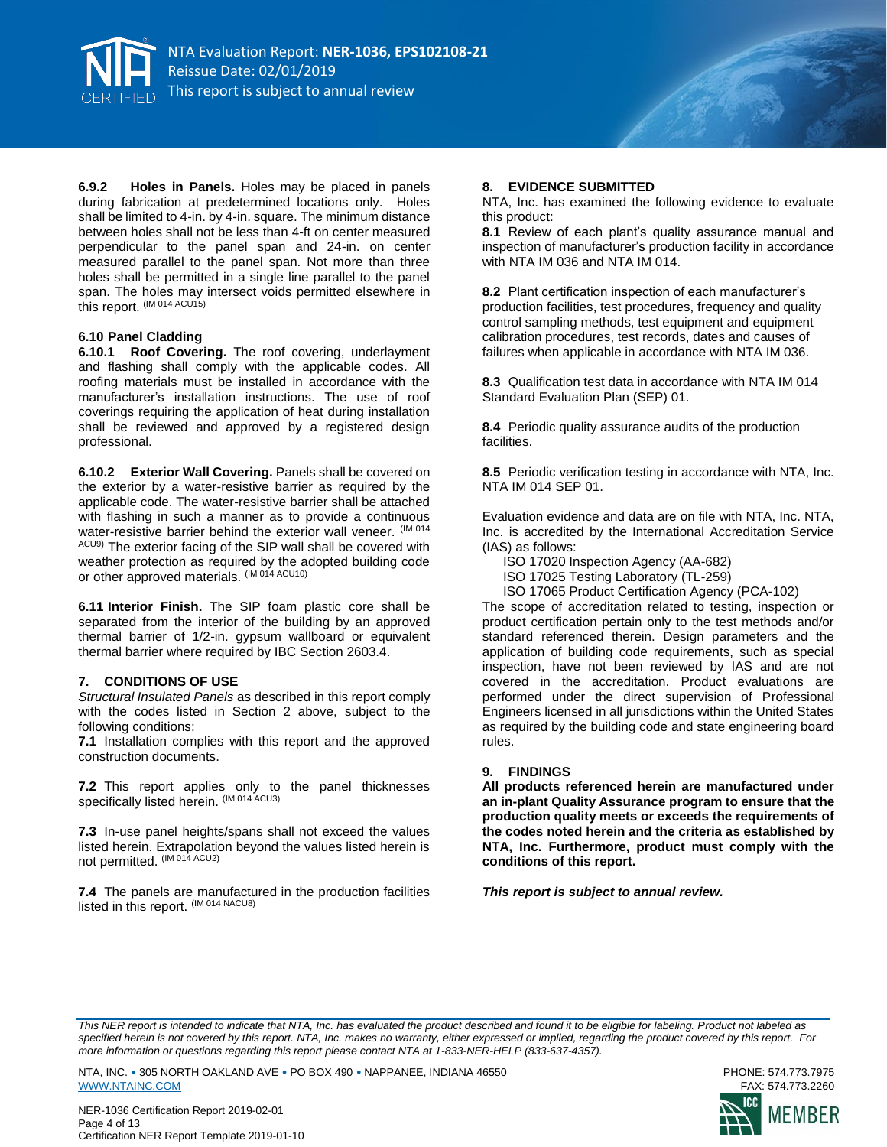

**6.9.2 Holes in Panels.** Holes may be placed in panels during fabrication at predetermined locations only. Holes shall be limited to 4-in. by 4-in. square. The minimum distance between holes shall not be less than 4-ft on center measured perpendicular to the panel span and 24-in. on center measured parallel to the panel span. Not more than three holes shall be permitted in a single line parallel to the panel span. The holes may intersect voids permitted elsewhere in this report. (IM 014 ACU15)

#### **6.10 Panel Cladding**

**6.10.1 Roof Covering.** The roof covering, underlayment and flashing shall comply with the applicable codes. All roofing materials must be installed in accordance with the manufacturer's installation instructions. The use of roof coverings requiring the application of heat during installation shall be reviewed and approved by a registered design professional.

**6.10.2 Exterior Wall Covering.** Panels shall be covered on the exterior by a water-resistive barrier as required by the applicable code. The water-resistive barrier shall be attached with flashing in such a manner as to provide a continuous water-resistive barrier behind the exterior wall veneer. (IM 014 ACU9) The exterior facing of the SIP wall shall be covered with weather protection as required by the adopted building code or other approved materials. (IM 014 ACU10)

**6.11 Interior Finish.** The SIP foam plastic core shall be separated from the interior of the building by an approved thermal barrier of 1/2-in. gypsum wallboard or equivalent thermal barrier where required by IBC Section 2603.4.

#### **7. CONDITIONS OF USE**

*Structural Insulated Panels* as described in this report comply with the codes listed in Section 2 above, subject to the following conditions:

**7.1** Installation complies with this report and the approved construction documents.

**7.2** This report applies only to the panel thicknesses specifically listed herein. (IM 014 ACU3)

**7.3** In-use panel heights/spans shall not exceed the values listed herein. Extrapolation beyond the values listed herein is not permitted. (IM 014 ACU2)

**7.4** The panels are manufactured in the production facilities listed in this report. (IM 014 NACU8)

#### **8. EVIDENCE SUBMITTED**

NTA, Inc. has examined the following evidence to evaluate this product:

**8.1** Review of each plant's quality assurance manual and inspection of manufacturer's production facility in accordance with NTA IM 036 and NTA IM 014.

**8.2** Plant certification inspection of each manufacturer's production facilities, test procedures, frequency and quality control sampling methods, test equipment and equipment calibration procedures, test records, dates and causes of failures when applicable in accordance with NTA IM 036.

**8.3** Qualification test data in accordance with NTA IM 014 Standard Evaluation Plan (SEP) 01.

**8.4** Periodic quality assurance audits of the production facilities.

**8.5** Periodic verification testing in accordance with NTA, Inc. NTA IM 014 SEP 01.

Evaluation evidence and data are on file with NTA, Inc. NTA, Inc. is accredited by the International Accreditation Service (IAS) as follows:

ISO 17020 Inspection Agency (AA-682)

ISO 17025 Testing Laboratory (TL-259)

ISO 17065 Product Certification Agency (PCA-102)

The scope of accreditation related to testing, inspection or product certification pertain only to the test methods and/or standard referenced therein. Design parameters and the application of building code requirements, such as special inspection, have not been reviewed by IAS and are not covered in the accreditation. Product evaluations are performed under the direct supervision of Professional Engineers licensed in all jurisdictions within the United States as required by the building code and state engineering board rules.

#### **9. FINDINGS**

**All products referenced herein are manufactured under an in-plant Quality Assurance program to ensure that the production quality meets or exceeds the requirements of the codes noted herein and the criteria as established by NTA, Inc. Furthermore, product must comply with the conditions of this report.** 

*This report is subject to annual review.*

*This NER report is intended to indicate that NTA, Inc. has evaluated the product described and found it to be eligible for labeling. Product not labeled as specified herein is not covered by this report. NTA, Inc. makes no warranty, either expressed or implied, regarding the product covered by this report. For more information or questions regarding this report please contact NTA at 1-833-NER-HELP (833-637-4357).* 

NTA, INC. • 305 NORTH OAKLAND AVE • PO BOX 490 • NAPPANEE, INDIANA 46550 PHONE: 574.773.7975 [WWW.NTAINC.COM](http://www.ntainc.com/)

NER-1036 Certification Report 2019-02-01 Page 4 of 13 Certification NER Report Template 2019-01-10

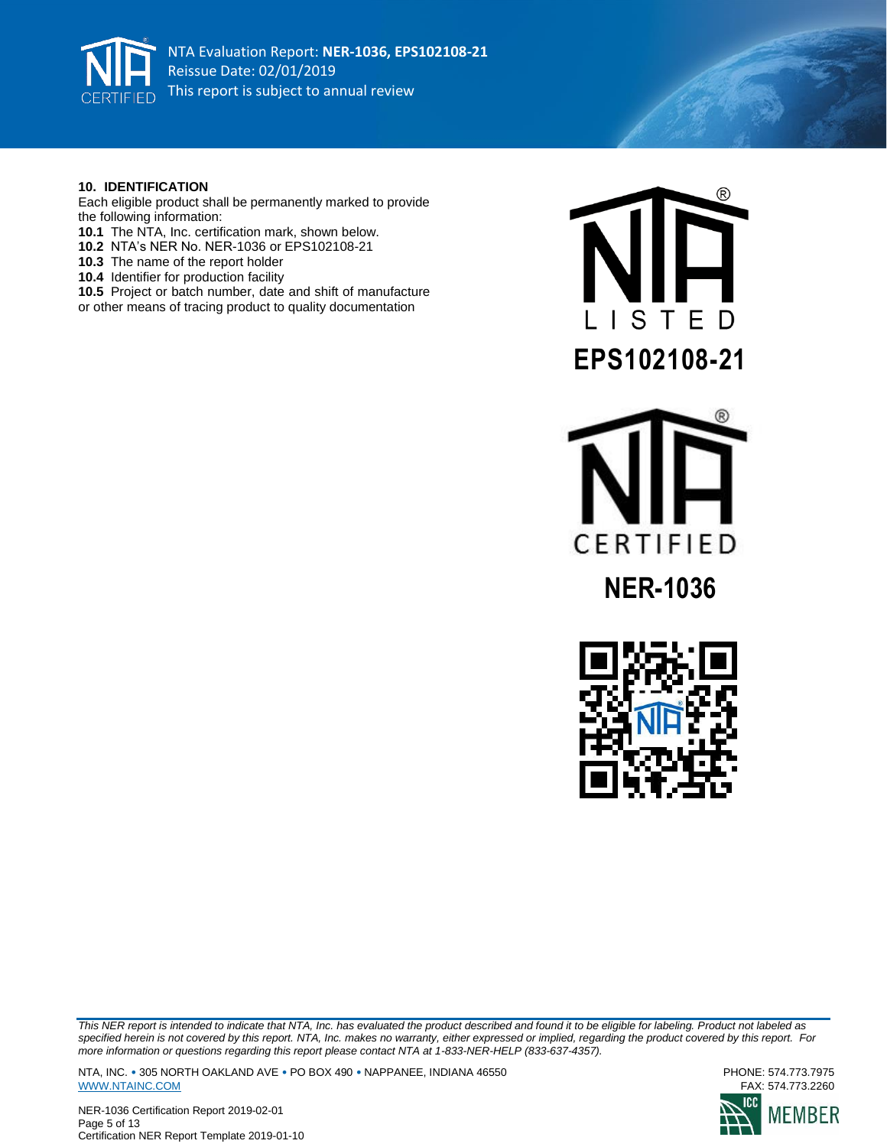

#### **10. IDENTIFICATION**

Each eligible product shall be permanently marked to provide the following information:

- **10.1** The NTA, Inc. certification mark, shown below.
- **10.2** NTA's NER No. NER-1036 or EPS102108-21
- **10.3** The name of the report holder
- **10.4** Identifier for production facility
- **10.5** Project or batch number, date and shift of manufacture or other means of tracing product to quality documentation







*This NER report is intended to indicate that NTA, Inc. has evaluated the product described and found it to be eligible for labeling. Product not labeled as specified herein is not covered by this report. NTA, Inc. makes no warranty, either expressed or implied, regarding the product covered by this report. For more information or questions regarding this report please contact NTA at 1-833-NER-HELP (833-637-4357).* 

NTA, INC. • 305 NORTH OAKLAND AVE • PO BOX 490 • NAPPANEE, INDIANA 46550<br>WWW.NTAINC.COM FAX: 574.773.2260 [WWW.NTAINC.COM](http://www.ntainc.com/)





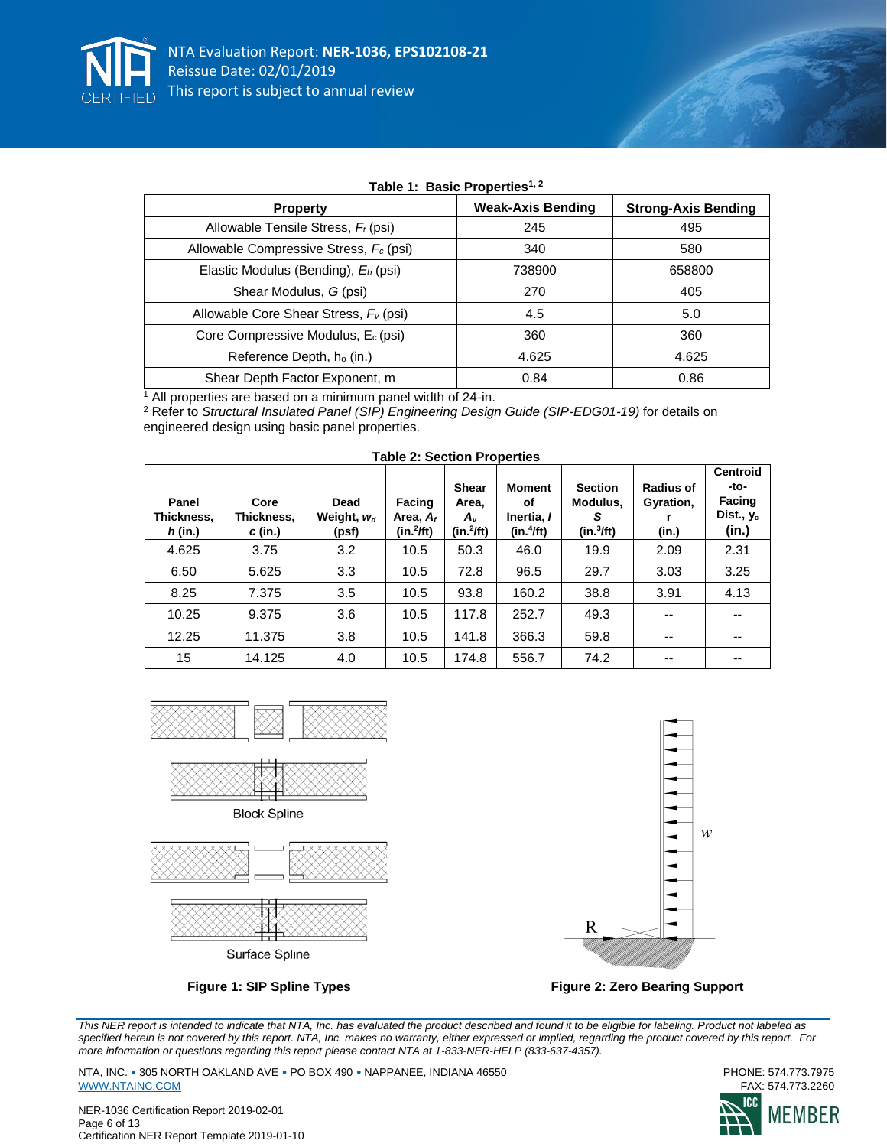

| Table 1. Basic Floperies |                            |  |  |  |  |  |  |
|--------------------------|----------------------------|--|--|--|--|--|--|
| <b>Weak-Axis Bending</b> | <b>Strong-Axis Bending</b> |  |  |  |  |  |  |
| 245                      | 495                        |  |  |  |  |  |  |
| 340                      | 580                        |  |  |  |  |  |  |
| 738900                   | 658800                     |  |  |  |  |  |  |
| 270                      | 405                        |  |  |  |  |  |  |
| 4.5                      | 5.0                        |  |  |  |  |  |  |
| 360                      | 360                        |  |  |  |  |  |  |
| 4.625                    | 4.625                      |  |  |  |  |  |  |
| 0.84                     | 0.86                       |  |  |  |  |  |  |
|                          |                            |  |  |  |  |  |  |

# **Table 1: Basic Properties1, 2**

<sup>1</sup> All properties are based on a minimum panel width of 24-in.

<sup>2</sup> Refer to *Structural Insulated Panel (SIP) Engineering Design Guide (SIP-EDG01-19)* for details on engineered design using basic panel properties.

| Panel<br>Thickness,<br>$h$ (in.) | Core<br>Thickness.<br>$c$ (in.) | Dead<br>Weight, $W_d$<br>(psf) | Facing<br>Area, $A_f$<br>$(in.^2/ft)$ | <b>Shear</b><br>Area,<br>A,<br>$(in.^2ft)$ | <b>Moment</b><br>οf<br>Inertia, I<br>(in.4ft) | <b>Section</b><br>Modulus.<br>S<br>(in.3ft) | <b>Radius of</b><br>Gyration,<br>(in.) | <b>Centroid</b><br>-to-<br><b>Facing</b><br>Dist., $y_c$<br>(in.) |
|----------------------------------|---------------------------------|--------------------------------|---------------------------------------|--------------------------------------------|-----------------------------------------------|---------------------------------------------|----------------------------------------|-------------------------------------------------------------------|
| 4.625                            | 3.75                            | 3.2                            | 10.5                                  | 50.3                                       | 46.0                                          | 19.9                                        | 2.09                                   | 2.31                                                              |
| 6.50                             | 5.625                           | 3.3                            | 10.5                                  | 72.8                                       | 96.5                                          | 29.7                                        | 3.03                                   | 3.25                                                              |
| 8.25                             | 7.375                           | 3.5                            | 10.5                                  | 93.8                                       | 160.2                                         | 38.8                                        | 3.91                                   | 4.13                                                              |
| 10.25                            | 9.375                           | 3.6                            | 10.5                                  | 117.8                                      | 252.7                                         | 49.3                                        | --                                     | --                                                                |
| 12.25                            | 11.375                          | 3.8                            | 10.5                                  | 141.8                                      | 366.3                                         | 59.8                                        | $-$                                    | $-$                                                               |
| 15                               | 14.125                          | 4.0                            | 10.5                                  | 174.8                                      | 556.7                                         | 74.2                                        | --                                     | --                                                                |

#### **Table 2: Section Properties**





Surface Spline



**Figure 1: SIP Spline Types Figure 2: Zero Bearing Support**

*This NER report is intended to indicate that NTA, Inc. has evaluated the product described and found it to be eligible for labeling. Product not labeled as specified herein is not covered by this report. NTA, Inc. makes no warranty, either expressed or implied, regarding the product covered by this report. For more information or questions regarding this report please contact NTA at 1-833-NER-HELP (833-637-4357).* 

NTA, INC. • 305 NORTH OAKLAND AVE • PO BOX 490 • NAPPANEE, INDIANA 46550<br>WWW.NTAINC.COM FAX: 574.773.2260 [WWW.NTAINC.COM](http://www.ntainc.com/)

NER-1036 Certification Report 2019-02-01 Page 6 of 13 Certification NER Report Template 2019-01-10

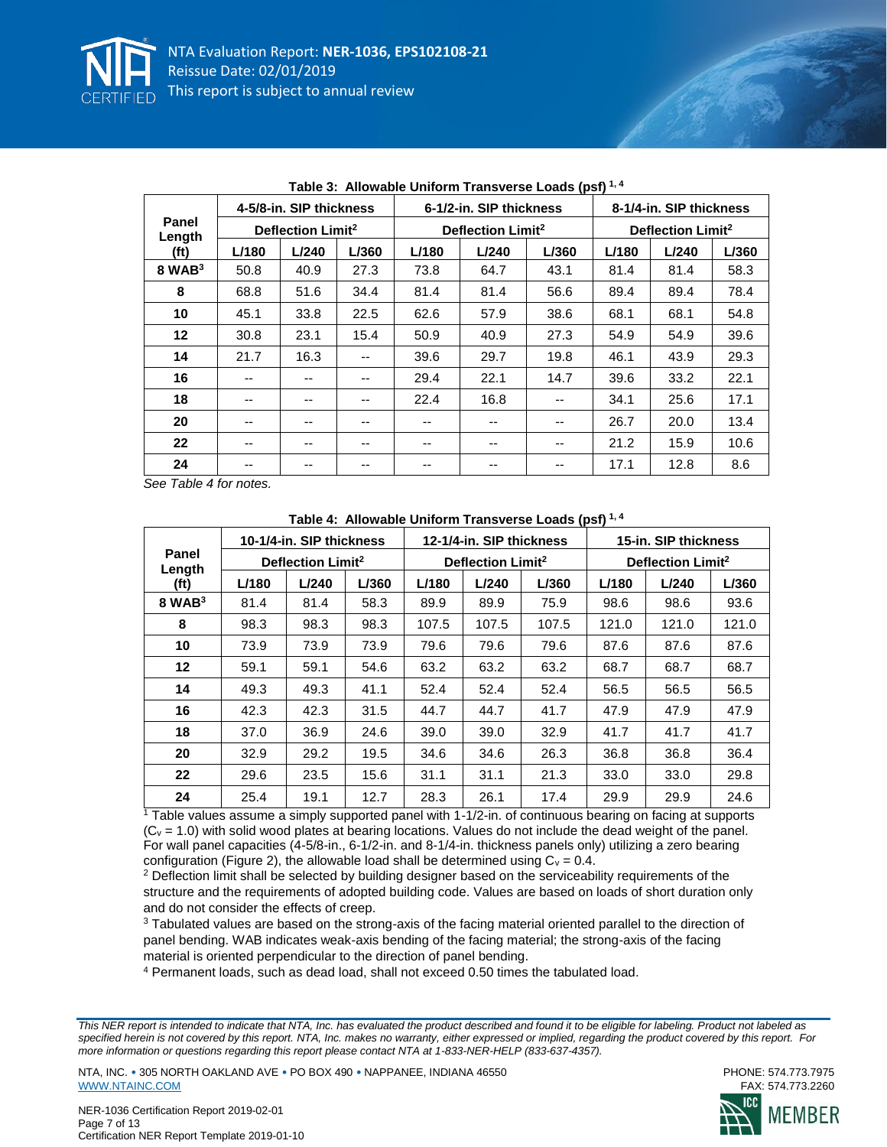

|                   |       | 4-5/8-in. SIP thickness       |       |       | 6-1/2-in. SIP thickness       |       |       | 8-1/4-in. SIP thickness       |       |
|-------------------|-------|-------------------------------|-------|-------|-------------------------------|-------|-------|-------------------------------|-------|
| Panel<br>Length   |       | Deflection Limit <sup>2</sup> |       |       | Deflection Limit <sup>2</sup> |       |       | Deflection Limit <sup>2</sup> |       |
| (f <sub>t</sub> ) | L/180 | L/240                         | L/360 | L/180 | L/240                         | L/360 | L/180 | L/240                         | L/360 |
| $8$ WAB $3$       | 50.8  | 40.9                          | 27.3  | 73.8  | 64.7                          | 43.1  | 81.4  | 81.4                          | 58.3  |
| 8                 | 68.8  | 51.6                          | 34.4  | 81.4  | 81.4                          | 56.6  | 89.4  | 89.4                          | 78.4  |
| 10                | 45.1  | 33.8                          | 22.5  | 62.6  | 57.9                          | 38.6  | 68.1  | 68.1                          | 54.8  |
| 12                | 30.8  | 23.1                          | 15.4  | 50.9  | 40.9                          | 27.3  | 54.9  | 54.9                          | 39.6  |
| 14                | 21.7  | 16.3                          | --    | 39.6  | 29.7                          | 19.8  | 46.1  | 43.9                          | 29.3  |
| 16                | --    | --                            | --    | 29.4  | 22.1                          | 14.7  | 39.6  | 33.2                          | 22.1  |
| 18                | --    | --                            | --    | 22.4  | 16.8                          |       | 34.1  | 25.6                          | 17.1  |
| 20                | --    | --                            | --    | --    | --                            | $- -$ | 26.7  | 20.0                          | 13.4  |
| 22                | --    | --                            | --    | --    | --                            | $- -$ | 21.2  | 15.9                          | 10.6  |
| 24                | --    | --                            | --    | --    | --                            | $- -$ | 17.1  | 12.8                          | 8.6   |

|  |  |  | Table 3: Allowable Uniform Transverse Loads (psf) <sup>1,4</sup> |  |  |
|--|--|--|------------------------------------------------------------------|--|--|
|--|--|--|------------------------------------------------------------------|--|--|

*See Table 4 for notes.*

|                 |       | 10-1/4-in. SIP thickness      |       |       | 12-1/4-in. SIP thickness      |       |       | 15-in. SIP thickness          |       |
|-----------------|-------|-------------------------------|-------|-------|-------------------------------|-------|-------|-------------------------------|-------|
| Panel<br>Length |       | Deflection Limit <sup>2</sup> |       |       | Deflection Limit <sup>2</sup> |       |       | Deflection Limit <sup>2</sup> |       |
| (ft)            | L/180 | L/240                         | L/360 | L/180 | L/240                         | L/360 | L/180 | L/240                         | L/360 |
| $8$ WAB $3$     | 81.4  | 81.4                          | 58.3  | 89.9  | 89.9                          | 75.9  | 98.6  | 98.6                          | 93.6  |
| 8               | 98.3  | 98.3                          | 98.3  | 107.5 | 107.5                         | 107.5 | 121.0 | 121.0                         | 121.0 |
| 10              | 73.9  | 73.9                          | 73.9  | 79.6  | 79.6                          | 79.6  | 87.6  | 87.6                          | 87.6  |
| $12 \,$         | 59.1  | 59.1                          | 54.6  | 63.2  | 63.2                          | 63.2  | 68.7  | 68.7                          | 68.7  |
| 14              | 49.3  | 49.3                          | 41.1  | 52.4  | 52.4                          | 52.4  | 56.5  | 56.5                          | 56.5  |
| 16              | 42.3  | 42.3                          | 31.5  | 44.7  | 44.7                          | 41.7  | 47.9  | 47.9                          | 47.9  |
| 18              | 37.0  | 36.9                          | 24.6  | 39.0  | 39.0                          | 32.9  | 41.7  | 41.7                          | 41.7  |
| 20              | 32.9  | 29.2                          | 19.5  | 34.6  | 34.6                          | 26.3  | 36.8  | 36.8                          | 36.4  |
| 22              | 29.6  | 23.5                          | 15.6  | 31.1  | 31.1                          | 21.3  | 33.0  | 33.0                          | 29.8  |
| 24              | 25.4  | 19.1                          | 12.7  | 28.3  | 26.1                          | 17.4  | 29.9  | 29.9                          | 24.6  |

**Table 4: Allowable Uniform Transverse Loads (psf) 1, 4**

 $1$ <sup>1</sup> Table values assume a simply supported panel with  $1-1/2$ -in. of continuous bearing on facing at supports  $(C_v = 1.0)$  with solid wood plates at bearing locations. Values do not include the dead weight of the panel. For wall panel capacities (4-5/8-in., 6-1/2-in. and 8-1/4-in. thickness panels only) utilizing a zero bearing configuration (Figure 2), the allowable load shall be determined using  $C_v = 0.4$ .

<sup>2</sup> Deflection limit shall be selected by building designer based on the serviceability requirements of the structure and the requirements of adopted building code. Values are based on loads of short duration only and do not consider the effects of creep.

<sup>3</sup> Tabulated values are based on the strong-axis of the facing material oriented parallel to the direction of panel bending. WAB indicates weak-axis bending of the facing material; the strong-axis of the facing material is oriented perpendicular to the direction of panel bending.

<sup>4</sup> Permanent loads, such as dead load, shall not exceed 0.50 times the tabulated load.

*This NER report is intended to indicate that NTA, Inc. has evaluated the product described and found it to be eligible for labeling. Product not labeled as specified herein is not covered by this report. NTA, Inc. makes no warranty, either expressed or implied, regarding the product covered by this report. For more information or questions regarding this report please contact NTA at 1-833-NER-HELP (833-637-4357).* 



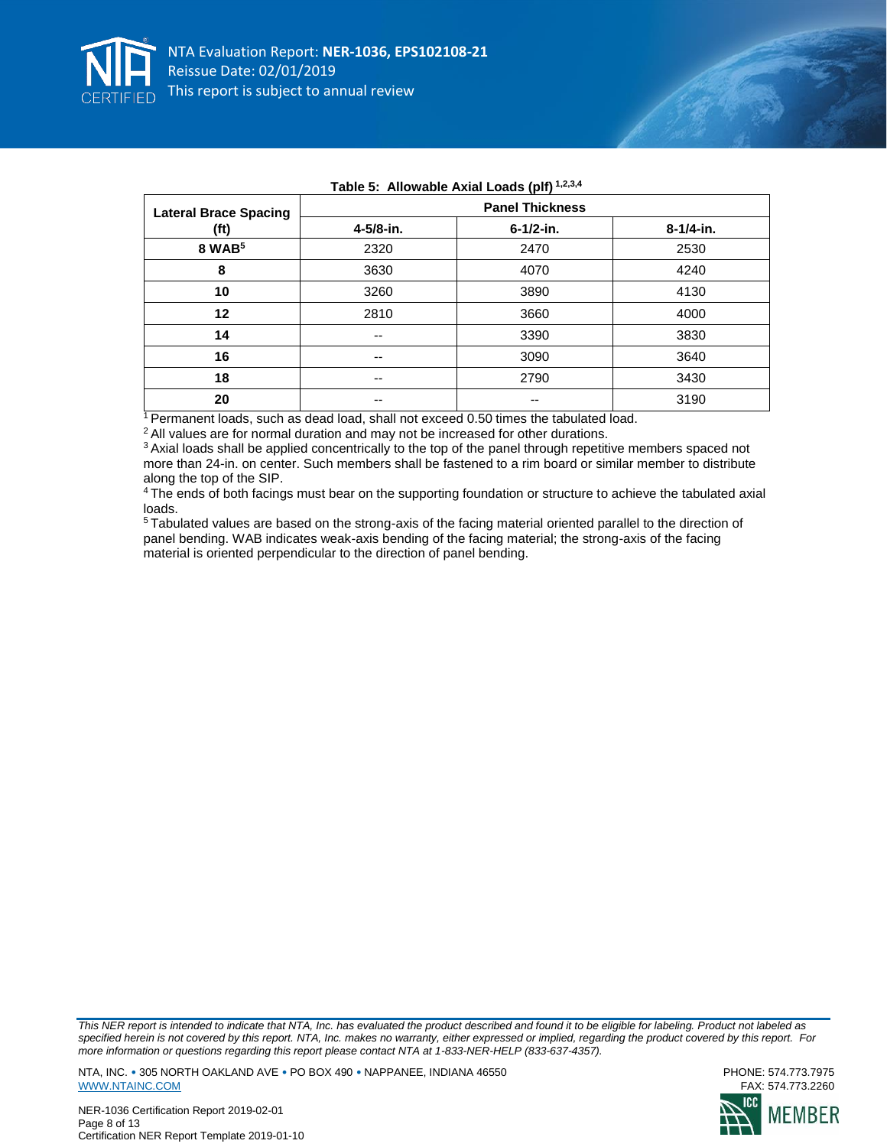

| <b>Lateral Brace Spacing</b> |           | <b>Panel Thickness</b> |           |
|------------------------------|-----------|------------------------|-----------|
| (ft)                         | 4-5/8-in. | $6 - 1/2 - in.$        | 8-1/4-in. |
| 8 WAB <sup>5</sup>           | 2320      | 2470                   | 2530      |
| 8                            | 3630      | 4070                   | 4240      |
| 10                           | 3260      | 3890                   | 4130      |
| 12                           | 2810      | 3660                   | 4000      |
| 14                           | $- -$     | 3390                   | 3830      |
| 16                           | --        | 3090                   | 3640      |
| 18                           | --        | 2790                   | 3430      |
| 20                           | --        |                        | 3190      |

# **Table 5: Allowable Axial Loads (plf) 1,2,3,4**

<sup>1</sup> Permanent loads, such as dead load, shall not exceed 0.50 times the tabulated load.

<sup>2</sup> All values are for normal duration and may not be increased for other durations.

<sup>3</sup> Axial loads shall be applied concentrically to the top of the panel through repetitive members spaced not more than 24-in. on center. Such members shall be fastened to a rim board or similar member to distribute along the top of the SIP.

<sup>4</sup>The ends of both facings must bear on the supporting foundation or structure to achieve the tabulated axial loads.

<sup>5</sup>Tabulated values are based on the strong-axis of the facing material oriented parallel to the direction of panel bending. WAB indicates weak-axis bending of the facing material; the strong-axis of the facing material is oriented perpendicular to the direction of panel bending.

*This NER report is intended to indicate that NTA, Inc. has evaluated the product described and found it to be eligible for labeling. Product not labeled as specified herein is not covered by this report. NTA, Inc. makes no warranty, either expressed or implied, regarding the product covered by this report. For more information or questions regarding this report please contact NTA at 1-833-NER-HELP (833-637-4357).* 

NTA, INC. • 305 NORTH OAKLAND AVE • PO BOX 490 • NAPPANEE, INDIANA 46550<br>WWW.NTAINC.COM FAX: 574.773.2260 [WWW.NTAINC.COM](http://www.ntainc.com/)



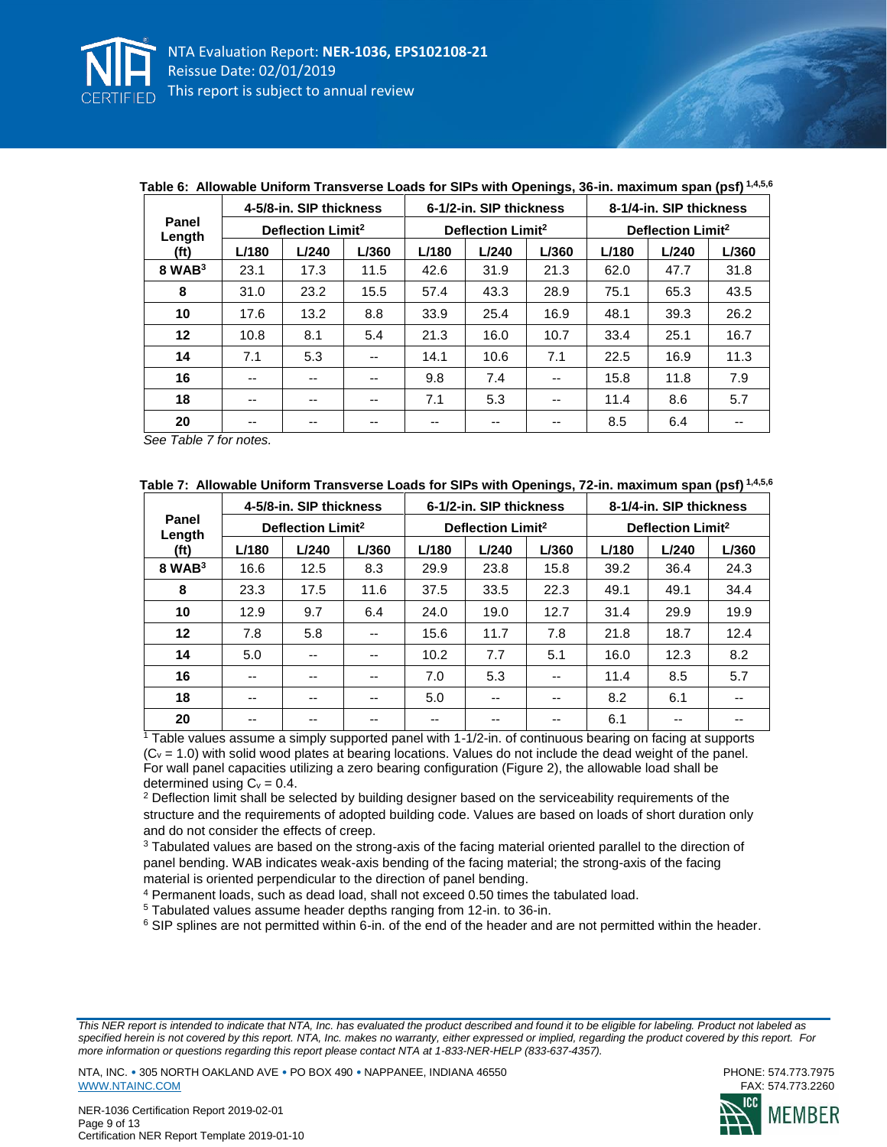

|                 |       | 4-5/8-in. SIP thickness       |       |       | 6-1/2-in. SIP thickness       |       |       | 8-1/4-in. SIP thickness       |       |
|-----------------|-------|-------------------------------|-------|-------|-------------------------------|-------|-------|-------------------------------|-------|
| Panel<br>Length |       | Deflection Limit <sup>2</sup> |       |       | Deflection Limit <sup>2</sup> |       |       | Deflection Limit <sup>2</sup> |       |
| (ft)            | L/180 | L/240                         | L/360 | L/180 | L/240                         | L/360 | L/180 | L/240                         | L/360 |
| $8$ WAB $3$     | 23.1  | 17.3                          | 11.5  | 42.6  | 31.9                          | 21.3  | 62.0  | 47.7                          | 31.8  |
| 8               | 31.0  | 23.2                          | 15.5  | 57.4  | 43.3                          | 28.9  | 75.1  | 65.3                          | 43.5  |
| 10              | 17.6  | 13.2                          | 8.8   | 33.9  | 25.4                          | 16.9  | 48.1  | 39.3                          | 26.2  |
| 12              | 10.8  | 8.1                           | 5.4   | 21.3  | 16.0                          | 10.7  | 33.4  | 25.1                          | 16.7  |
| 14              | 7.1   | 5.3                           | --    | 14.1  | 10.6                          | 7.1   | 22.5  | 16.9                          | 11.3  |
| 16              | $- -$ | --                            | --    | 9.8   | 7.4                           | --    | 15.8  | 11.8                          | 7.9   |
| 18              | $- -$ | $- -$                         | --    | 7.1   | 5.3                           | --    | 11.4  | 8.6                           | 5.7   |
| 20              | --    | --                            | --    | --    | --                            | --    | 8.5   | 6.4                           |       |

# **Table 6: Allowable Uniform Transverse Loads for SIPs with Openings, 36-in. maximum span (psf) 1,4,5,6**

*See Table 7 for notes.*

| Table 7:  Allowable Uniform Transverse Loads for SIPs with Openings, 72-in. maximum span (psf) 1,4,5,6 |
|--------------------------------------------------------------------------------------------------------|
|--------------------------------------------------------------------------------------------------------|

|                   |       | 4-5/8-in. SIP thickness       |       |       | 6-1/2-in. SIP thickness       |       |       | 8-1/4-in. SIP thickness       |       |
|-------------------|-------|-------------------------------|-------|-------|-------------------------------|-------|-------|-------------------------------|-------|
| Panel<br>Length   |       | Deflection Limit <sup>2</sup> |       |       | Deflection Limit <sup>2</sup> |       |       | Deflection Limit <sup>2</sup> |       |
| (f <sub>t</sub> ) | L/180 | L/240                         | L/360 | L/180 | L/240                         | L/360 | L/180 | L/240                         | L/360 |
| $8$ WAB $3$       | 16.6  | 12.5                          | 8.3   | 29.9  | 23.8                          | 15.8  | 39.2  | 36.4                          | 24.3  |
| 8                 | 23.3  | 17.5                          | 11.6  | 37.5  | 33.5                          | 22.3  | 49.1  | 49.1                          | 34.4  |
| 10                | 12.9  | 9.7                           | 6.4   | 24.0  | 19.0                          | 12.7  | 31.4  | 29.9                          | 19.9  |
| 12                | 7.8   | 5.8                           | --    | 15.6  | 11.7                          | 7.8   | 21.8  | 18.7                          | 12.4  |
| 14                | 5.0   | --                            | --    | 10.2  | 7.7                           | 5.1   | 16.0  | 12.3                          | 8.2   |
| 16                | --    | --                            | --    | 7.0   | 5.3                           | --    | 11.4  | 8.5                           | 5.7   |
| 18                | --    | --                            | --    | 5.0   | --                            | --    | 8.2   | 6.1                           | --    |
| 20                | --    | --                            | --    | --    | --                            | --    | 6.1   | --                            |       |

<sup>1</sup> Table values assume a simply supported panel with 1-1/2-in. of continuous bearing on facing at supports  $(C_v = 1.0)$  with solid wood plates at bearing locations. Values do not include the dead weight of the panel. For wall panel capacities utilizing a zero bearing configuration (Figure 2), the allowable load shall be determined using  $C_v = 0.4$ .

<sup>2</sup> Deflection limit shall be selected by building designer based on the serviceability requirements of the structure and the requirements of adopted building code. Values are based on loads of short duration only and do not consider the effects of creep.

<sup>3</sup> Tabulated values are based on the strong-axis of the facing material oriented parallel to the direction of panel bending. WAB indicates weak-axis bending of the facing material; the strong-axis of the facing material is oriented perpendicular to the direction of panel bending.

<sup>4</sup> Permanent loads, such as dead load, shall not exceed 0.50 times the tabulated load.

<sup>5</sup> Tabulated values assume header depths ranging from 12-in. to 36-in.

<sup>6</sup> SIP splines are not permitted within 6-in. of the end of the header and are not permitted within the header.

*This NER report is intended to indicate that NTA, Inc. has evaluated the product described and found it to be eligible for labeling. Product not labeled as specified herein is not covered by this report. NTA, Inc. makes no warranty, either expressed or implied, regarding the product covered by this report. For more information or questions regarding this report please contact NTA at 1-833-NER-HELP (833-637-4357).* 



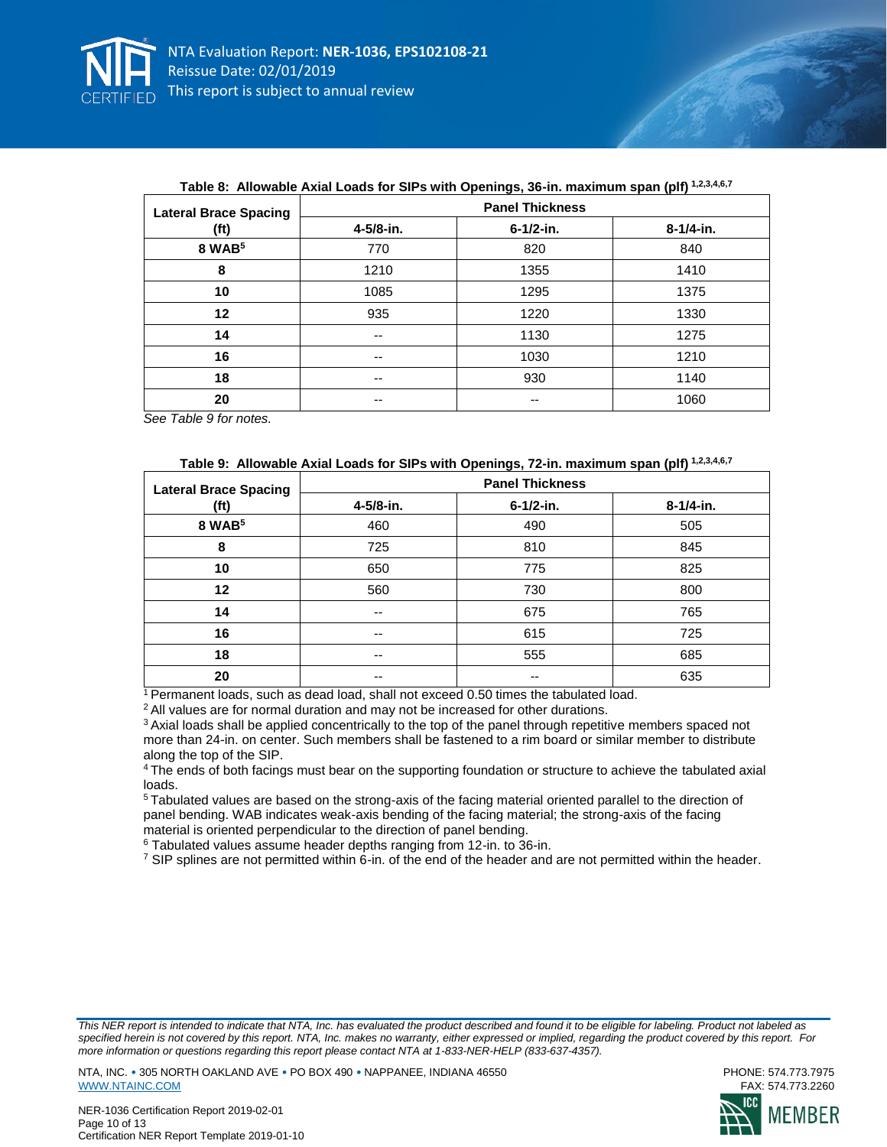

| <b>Lateral Brace Spacing</b> |           | <b>Panel Thickness</b> |           |
|------------------------------|-----------|------------------------|-----------|
| (ft)                         | 4-5/8-in. | 6-1/2-in.              | 8-1/4-in. |
| 8 WAB <sup>5</sup>           | 770       | 820                    | 840       |
| 8                            | 1210      | 1355                   | 1410      |
| 10                           | 1085      | 1295                   | 1375      |
| 12                           | 935       | 1220                   | 1330      |
| 14                           | $- -$     | 1130                   | 1275      |
| 16                           | $- -$     | 1030                   | 1210      |
| 18                           | $- -$     | 930                    | 1140      |
| 20                           | $- -$     | --                     | 1060      |

### **Table 8: Allowable Axial Loads for SIPs with Openings, 36-in. maximum span (plf) 1,2,3,4,6,7**

*See Table 9 for notes.*

#### **Table 9: Allowable Axial Loads for SIPs with Openings, 72-in. maximum span (plf) 1,2,3,4,6,7**

| <b>Lateral Brace Spacing</b> |           | <b>Panel Thickness</b> |           |
|------------------------------|-----------|------------------------|-----------|
| (ft)                         | 4-5/8-in. | 6-1/2-in.              | 8-1/4-in. |
| 8 WAB <sup>5</sup>           | 460       | 490                    | 505       |
| 8                            | 725       | 810                    | 845       |
| 10                           | 650       | 775                    | 825       |
| 12                           | 560       | 730                    | 800       |
| 14                           | --        | 675                    | 765       |
| 16                           | --        | 615                    | 725       |
| 18                           | --        | 555                    | 685       |
| 20                           | --        | --                     | 635       |

<sup>1</sup>Permanent loads, such as dead load, shall not exceed 0.50 times the tabulated load.

<sup>2</sup> All values are for normal duration and may not be increased for other durations.

<sup>3</sup> Axial loads shall be applied concentrically to the top of the panel through repetitive members spaced not more than 24-in. on center. Such members shall be fastened to a rim board or similar member to distribute along the top of the SIP.

<sup>4</sup>The ends of both facings must bear on the supporting foundation or structure to achieve the tabulated axial loads.

<sup>5</sup>Tabulated values are based on the strong-axis of the facing material oriented parallel to the direction of panel bending. WAB indicates weak-axis bending of the facing material; the strong-axis of the facing material is oriented perpendicular to the direction of panel bending.

<sup>6</sup> Tabulated values assume header depths ranging from 12-in. to 36-in.

<sup>7</sup> SIP splines are not permitted within 6-in. of the end of the header and are not permitted within the header.

*This NER report is intended to indicate that NTA, Inc. has evaluated the product described and found it to be eligible for labeling. Product not labeled as specified herein is not covered by this report. NTA, Inc. makes no warranty, either expressed or implied, regarding the product covered by this report. For more information or questions regarding this report please contact NTA at 1-833-NER-HELP (833-637-4357).* 



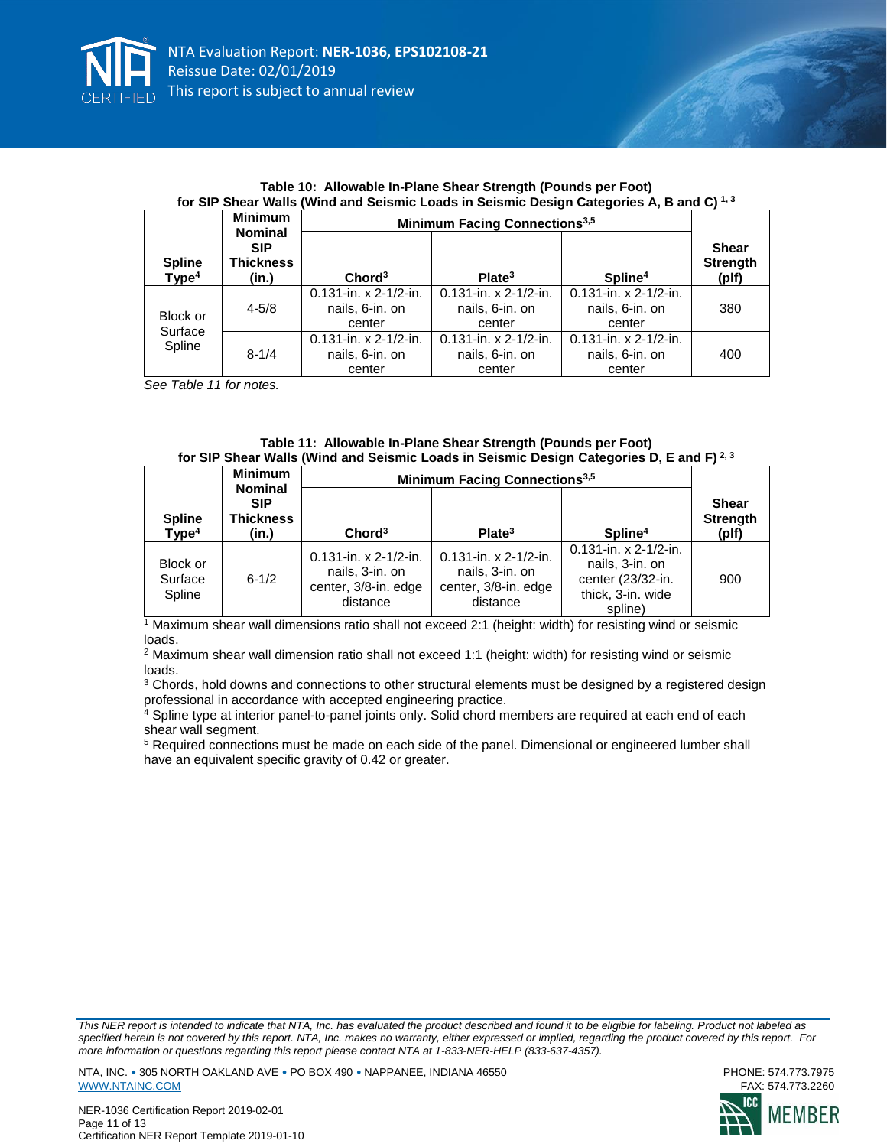

|                                    |                                         |                                                       | for SiP Shear walls (willig and Seismic Loads in Seismic Design Categories A, B and C) "* |                                                       |                                          |  |
|------------------------------------|-----------------------------------------|-------------------------------------------------------|-------------------------------------------------------------------------------------------|-------------------------------------------------------|------------------------------------------|--|
|                                    | <b>Minimum</b><br><b>Nominal</b>        |                                                       | <b>Minimum Facing Connections</b> <sup>3,5</sup>                                          |                                                       |                                          |  |
| <b>Spline</b><br>Type <sup>4</sup> | <b>SIP</b><br><b>Thickness</b><br>(in.) | Chord <sup>3</sup>                                    | Plate <sup>3</sup>                                                                        | Spline <sup>4</sup>                                   | <b>Shear</b><br><b>Strength</b><br>(plf) |  |
| Block or<br>Surface                | $4 - 5/8$                               | $0.131$ -in. x 2-1/2-in.<br>nails, 6-in. on<br>center | $0.131$ -in. x 2-1/2-in.<br>nails, 6-in. on<br>center                                     | $0.131$ -in. x 2-1/2-in.<br>nails, 6-in. on<br>center | 380                                      |  |
| Spline                             | $8 - 1/4$                               | $0.131$ -in. x 2-1/2-in.<br>nails, 6-in. on<br>center | $0.131$ -in. x 2-1/2-in.<br>nails, 6-in. on<br>center                                     | $0.131$ -in. x 2-1/2-in.<br>nails, 6-in. on<br>center | 400                                      |  |

| Table 10: Allowable In-Plane Shear Strength (Pounds per Foot)                                     |
|---------------------------------------------------------------------------------------------------|
| for SIP Shear Walls (Wind and Seismic Loads in Seismic Design Categories A, B and C) $^{\rm 1,3}$ |

*See Table 11 for notes.*

| Table 11: Allowable In-Plane Shear Strength (Pounds per Foot)                                       |
|-----------------------------------------------------------------------------------------------------|
| for SIP Shear Walls (Wind and Seismic Loads in Seismic Design Categories D, E and F) <sup>2,3</sup> |

|                                    | <b>Minimum</b><br><b>Nominal</b>        | <b>Minimum Facing Connections</b> <sup>3,5</sup>                                |                                                                                 |                                                                                                  |                                          |
|------------------------------------|-----------------------------------------|---------------------------------------------------------------------------------|---------------------------------------------------------------------------------|--------------------------------------------------------------------------------------------------|------------------------------------------|
| <b>Spline</b><br>Type <sup>4</sup> | <b>SIP</b><br><b>Thickness</b><br>(in.) | Chord <sup>3</sup>                                                              | Plate <sup>3</sup>                                                              | Spline <sup>4</sup>                                                                              | <b>Shear</b><br><b>Strength</b><br>(plf) |
| Block or<br>Surface<br>Spline      | $6 - 1/2$                               | $0.131$ -in. x 2-1/2-in.<br>nails, 3-in. on<br>center, 3/8-in. edge<br>distance | $0.131$ -in. x 2-1/2-in.<br>nails, 3-in. on<br>center, 3/8-in. edge<br>distance | $0.131$ -in. x 2-1/2-in.<br>nails, 3-in. on<br>center (23/32-in.<br>thick, 3-in. wide<br>spline) | 900                                      |

<sup>1</sup> Maximum shear wall dimensions ratio shall not exceed 2:1 (height: width) for resisting wind or seismic loads.

<sup>2</sup> Maximum shear wall dimension ratio shall not exceed 1:1 (height: width) for resisting wind or seismic loads.

<sup>3</sup> Chords, hold downs and connections to other structural elements must be designed by a registered design professional in accordance with accepted engineering practice.<br>4 Spline type at interior part of the set of the set of the set of the set of the set of the set of the set of the set of the set of the set of the set of the

Spline type at interior panel-to-panel joints only. Solid chord members are required at each end of each shear wall segment.

<sup>5</sup> Required connections must be made on each side of the panel. Dimensional or engineered lumber shall have an equivalent specific gravity of 0.42 or greater.

*This NER report is intended to indicate that NTA, Inc. has evaluated the product described and found it to be eligible for labeling. Product not labeled as specified herein is not covered by this report. NTA, Inc. makes no warranty, either expressed or implied, regarding the product covered by this report. For more information or questions regarding this report please contact NTA at 1-833-NER-HELP (833-637-4357).* 

NTA, INC. • 305 NORTH OAKLAND AVE • PO BOX 490 • NAPPANEE, INDIANA 46550<br>WWW.NTAINC.COM FAX: 574.773.2260 [WWW.NTAINC.COM](http://www.ntainc.com/)





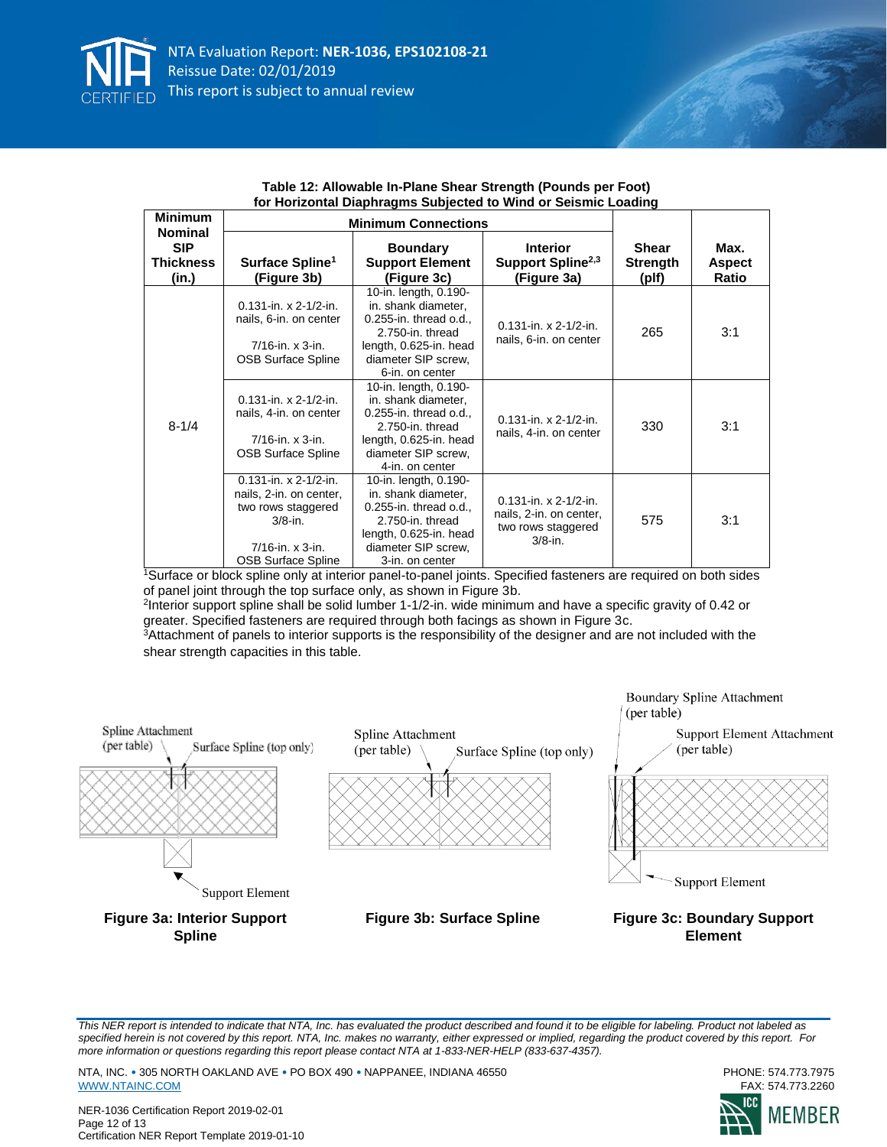

| <b>Minimum</b><br><b>Nominal</b>        | וטו ווטוובטוונמו בומטוויז ט טמאןכטנטט נט זיוווע טו טכוסווווט בטממווק<br><b>Minimum Connections</b>                                      |                                                                                                                                                                   |                                                                                         |                                          |                                |
|-----------------------------------------|-----------------------------------------------------------------------------------------------------------------------------------------|-------------------------------------------------------------------------------------------------------------------------------------------------------------------|-----------------------------------------------------------------------------------------|------------------------------------------|--------------------------------|
| <b>SIP</b><br><b>Thickness</b><br>(in.) | Surface Spline <sup>1</sup><br>(Figure 3b)                                                                                              | <b>Boundary</b><br><b>Support Element</b><br>(Figure 3c)                                                                                                          | <b>Interior</b><br>Support Spline <sup>2,3</sup><br>(Figure 3a)                         | <b>Shear</b><br><b>Strength</b><br>(plf) | Max.<br><b>Aspect</b><br>Ratio |
| $8 - 1/4$                               | $0.131$ -in. x 2-1/2-in.<br>nails, 6-in. on center<br>$7/16$ -in. x $3$ -in.<br><b>OSB Surface Spline</b>                               | 10-in. length, 0.190-<br>in. shank diameter,<br>0.255-in. thread o.d.,<br>2.750-in. thread<br>length, 0.625-in. head<br>diameter SIP screw,<br>6-in. on center    | $0.131$ -in. x 2-1/2-in.<br>nails, 6-in. on center                                      | 265                                      | 3:1                            |
|                                         | $0.131$ -in. x 2-1/2-in.<br>nails, 4-in. on center<br>$7/16$ -in. x $3$ -in.<br><b>OSB Surface Spline</b>                               | 10-in. length, 0.190-<br>in. shank diameter,<br>$0.255$ -in. thread o.d.,<br>2.750-in. thread<br>length, 0.625-in. head<br>diameter SIP screw,<br>4-in, on center | $0.131$ -in. x 2-1/2-in.<br>nails, 4-in. on center                                      | 330                                      | 3:1                            |
|                                         | $0.131$ -in. x 2-1/2-in.<br>nails, 2-in. on center,<br>two rows staggered<br>$3/8$ -in.<br>$7/16$ -in. x $3$ -in.<br>OSB Surface Spline | 10-in. length, 0.190-<br>in. shank diameter,<br>$0.255$ -in. thread o.d.,<br>2.750-in. thread<br>length, 0.625-in. head<br>diameter SIP screw,<br>3-in. on center | $0.131$ -in. x 2-1/2-in.<br>nails, 2-in. on center,<br>two rows staggered<br>$3/8$ -in. | 575                                      | 3:1                            |

| Table 12: Allowable In-Plane Shear Strength (Pounds per Foot)  |
|----------------------------------------------------------------|
| for Horizontal Diaphragms Subjected to Wind or Seismic Loading |

<sup>1</sup>Surface or block spline only at interior panel-to-panel joints. Specified fasteners are required on both sides of panel joint through the top surface only, as shown in Figure 3b.

2 Interior support spline shall be solid lumber 1-1/2-in. wide minimum and have a specific gravity of 0.42 or greater. Specified fasteners are required through both facings as shown in Figure 3c.

<sup>3</sup>Attachment of panels to interior supports is the responsibility of the designer and are not included with the shear strength capacities in this table.



*This NER report is intended to indicate that NTA, Inc. has evaluated the product described and found it to be eligible for labeling. Product not labeled as specified herein is not covered by this report. NTA, Inc. makes no warranty, either expressed or implied, regarding the product covered by this report. For more information or questions regarding this report please contact NTA at 1-833-NER-HELP (833-637-4357).* 

NTA, INC. • 305 NORTH OAKLAND AVE • PO BOX 490 • NAPPANEE, INDIANA 46550<br>WWW.NTAINC.COM FAX: 574.773.2260 [WWW.NTAINC.COM](http://www.ntainc.com/)

NER-1036 Certification Report 2019-02-01 Page 12 of 13 Certification NER Report Template 2019-01-10